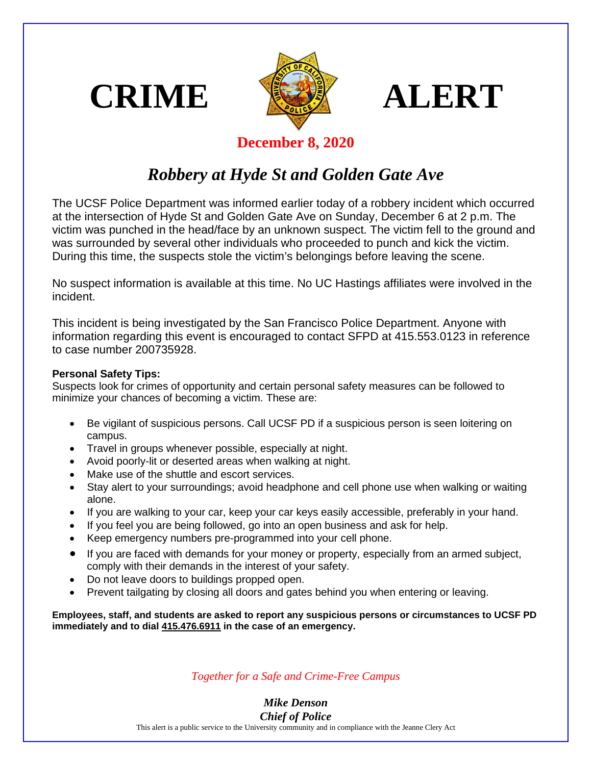





## **December 8, 2020**

## *Robbery at Hyde St and Golden Gate Ave*

The UCSF Police Department was informed earlier today of a robbery incident which occurred at the intersection of Hyde St and Golden Gate Ave on Sunday, December 6 at 2 p.m. The victim was punched in the head/face by an unknown suspect. The victim fell to the ground and was surrounded by several other individuals who proceeded to punch and kick the victim. During this time, the suspects stole the victim's belongings before leaving the scene.

No suspect information is available at this time. No UC Hastings affiliates were involved in the incident.

This incident is being investigated by the San Francisco Police Department. Anyone with information regarding this event is encouraged to contact SFPD at 415.553.0123 in reference to case number 200735928.

## **Personal Safety Tips:**

Suspects look for crimes of opportunity and certain personal safety measures can be followed to minimize your chances of becoming a victim. These are:

- Be vigilant of suspicious persons. Call UCSF PD if a suspicious person is seen loitering on campus.
- Travel in groups whenever possible, especially at night.
- Avoid poorly-lit or deserted areas when walking at night.
- Make use of the shuttle and escort services.
- Stay alert to your surroundings; avoid headphone and cell phone use when walking or waiting alone.
- If you are walking to your car, keep your car keys easily accessible, preferably in your hand.
- If you feel you are being followed, go into an open business and ask for help.
- Keep emergency numbers pre-programmed into your cell phone.
- If you are faced with demands for your money or property, especially from an armed subject, comply with their demands in the interest of your safety.
- Do not leave doors to buildings propped open.
- Prevent tailgating by closing all doors and gates behind you when entering or leaving.

**Employees, staff, and students are asked to report any suspicious persons or circumstances to UCSF PD immediately and to dial 415.476.6911 in the case of an emergency.**

*Together for a Safe and Crime-Free Campus*

*Mike Denson Chief of Police*

This alert is a public service to the University community and in compliance with the Jeanne Clery Act